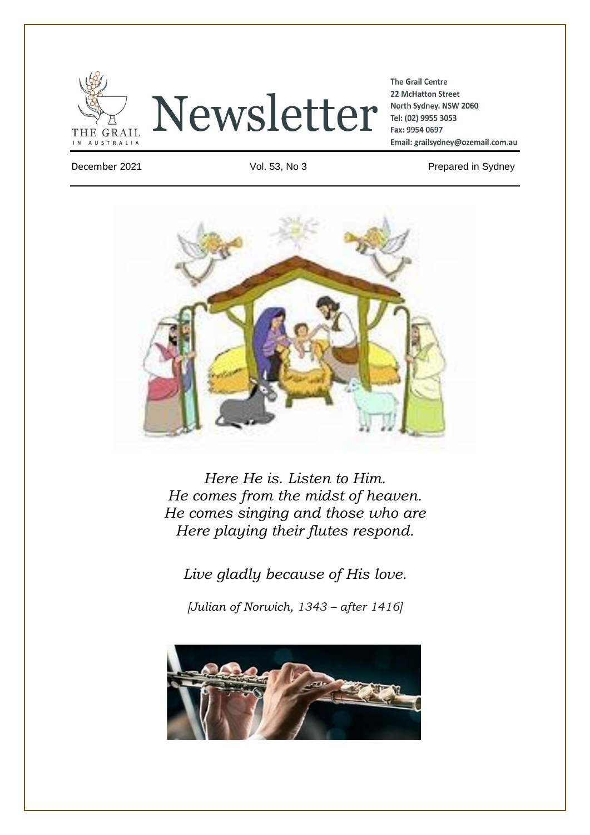



**The Grail Centre** 22 McHatton Street North Sydney. NSW 2060 Tel: (02) 9955 3053 Fax: 9954 0697 Email: grailsydney@ozemail.com.au

December 2021 Vol. 53, No 3 Prepared in Sydney



*Here He is. Listen to Him. He comes from the midst of heaven. He comes singing and those who are Here playing their flutes respond.*

*Live gladly because of His love.*

*[Julian of Norwich, 1343 – after 1416]*

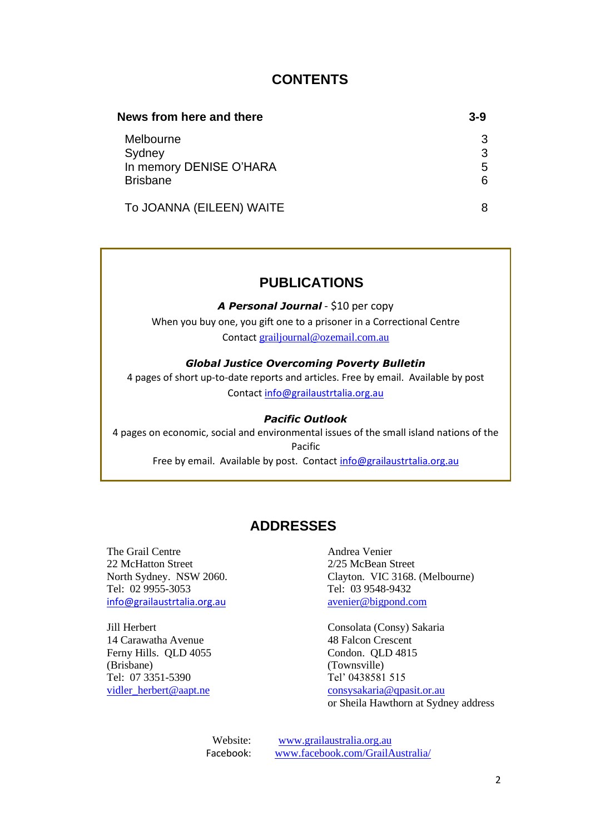# **CONTENTS**

| News from here and there | $3-9$ |
|--------------------------|-------|
| Melbourne                | 3     |
| Sydney                   | 3     |
| In memory DENISE O'HARA  | 5     |
| <b>Brisbane</b>          | 6     |
| To JOANNA (EILEEN) WAITE | 8     |

# **PUBLICATIONS**

*A Personal Journal* - \$10 per copy

When you buy one, you gift one to a prisoner in a Correctional Centre Contact [grailjournal@ozemail.com.au](mailto:grailjournal@ozemail.com.au)

### *Global Justice Overcoming Poverty Bulletin*

4 pages of short up-to-date reports and articles. Free by email. Available by post Contact [info@grailaustrtalia.org.au](mailto:info@grailaustrtalia.org.au)

#### *Pacific Outlook*

4 pages on economic, social and environmental issues of the small island nations of the Pacific Free by email. Available by post. Contact [info@grailaustrtalia.org.au](mailto:info@grailaustrtalia.org.au)

# **ADDRESSES**

The Grail Centre **Andrea** Venier 22 McHatton Street 2/25 McBean Street Tel: 02 9955-3053 Tel: 03 9548-9432 [info@grailaustrtalia.org.au](mailto:info@grailaustrtalia.org.au) [avenier@bigpond.com](mailto:avenier@bigpond.com)

14 Carawatha Avenue 48 Falcon Crescent Ferny Hills. QLD 4055 Condon. QLD 4815 (Brisbane) (Townsville) Tel: 07 3351-5390 Tel' 0438581 515

North Sydney. NSW 2060. Clayton. VIC 3168. (Melbourne)

Jill Herbert Consolata (Consy) Sakaria [vidler\\_herbert@aapt.ne](mailto:vidler_herbert@aapt.ne) [consysakaria@qpasit.or.au](mailto:consysakaria@qpasit.or.au) or Sheila Hawthorn at Sydney address

> Website: [www.grailaustralia.org.au](http://www.grailaustralia.org.au/) Facebook: [www.facebook.com/GrailAustralia/](http://www.facebook.com/GrailAustralia/)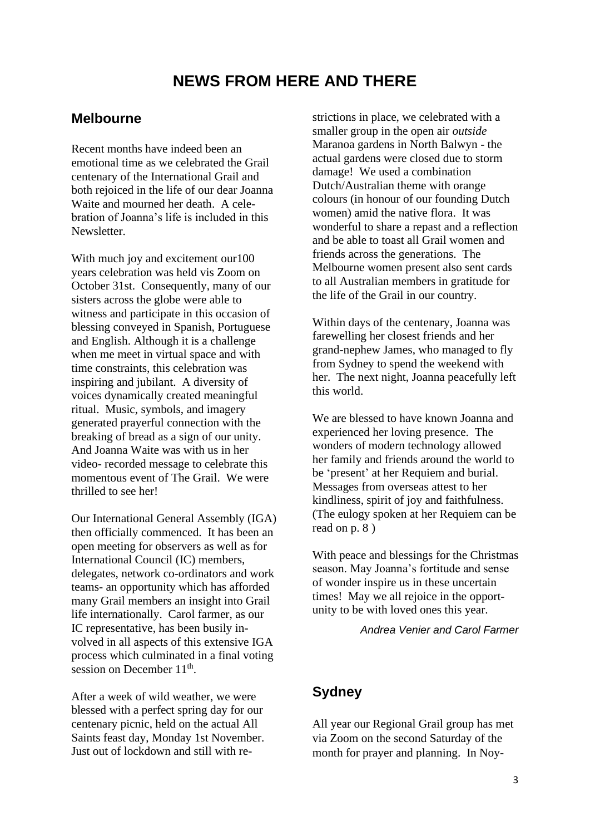# **NEWS FROM HERE AND THERE**

## **Melbourne**

Recent months have indeed been an emotional time as we celebrated the Grail centenary of the International Grail and both rejoiced in the life of our dear Joanna Waite and mourned her death. A celebration of Joanna's life is included in this **Newsletter** 

With much joy and excitement our 100 years celebration was held vis Zoom on October 31st. Consequently, many of our sisters across the globe were able to witness and participate in this occasion of blessing conveyed in Spanish, Portuguese and English. Although it is a challenge when me meet in virtual space and with time constraints, this celebration was inspiring and jubilant. A diversity of voices dynamically created meaningful ritual. Music, symbols, and imagery generated prayerful connection with the breaking of bread as a sign of our unity. And Joanna Waite was with us in her video- recorded message to celebrate this momentous event of The Grail. We were thrilled to see her!

Our International General Assembly (IGA) then officially commenced. It has been an open meeting for observers as well as for International Council (IC) members, delegates, network co-ordinators and work teams- an opportunity which has afforded many Grail members an insight into Grail life internationally. Carol farmer, as our IC representative, has been busily involved in all aspects of this extensive IGA process which culminated in a final voting session on December  $11<sup>th</sup>$ .

After a week of wild weather, we were blessed with a perfect spring day for our centenary picnic, held on the actual All Saints feast day, Monday 1st November. Just out of lockdown and still with restrictions in place, we celebrated with a smaller group in the open air *outside* Maranoa gardens in North Balwyn - the actual gardens were closed due to storm damage! We used a combination Dutch/Australian theme with orange colours (in honour of our founding Dutch women) amid the native flora. It was wonderful to share a repast and a reflection and be able to toast all Grail women and friends across the generations. The Melbourne women present also sent cards to all Australian members in gratitude for the life of the Grail in our country.

Within days of the centenary, Joanna was farewelling her closest friends and her grand-nephew James, who managed to fly from Sydney to spend the weekend with her. The next night, Joanna peacefully left this world.

We are blessed to have known Joanna and experienced her loving presence. The wonders of modern technology allowed her family and friends around the world to be 'present' at her Requiem and burial. Messages from overseas attest to her kindliness, spirit of joy and faithfulness. (The eulogy spoken at her Requiem can be read on p. 8 )

With peace and blessings for the Christmas season. May Joanna's fortitude and sense of wonder inspire us in these uncertain times! May we all rejoice in the opportunity to be with loved ones this year.

*Andrea Venier and Carol Farmer*

## **Sydney**

All year our Regional Grail group has met via Zoom on the second Saturday of the month for prayer and planning. In Noy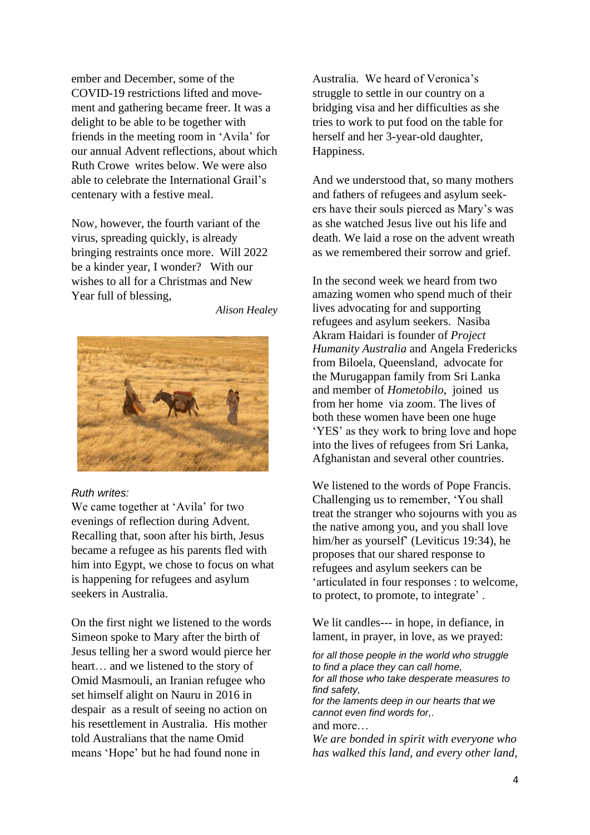ember and December, some of the COVID-19 restrictions lifted and movement and gathering became freer. It was a delight to be able to be together with friends in the meeting room in 'Avila' for our annual Advent reflections, about which Ruth Crowe writes below. We were also able to celebrate the International Grail's centenary with a festive meal.

Now, however, the fourth variant of the virus, spreading quickly, is already bringing restraints once more. Will 2022 be a kinder year, I wonder? With our wishes to all for a Christmas and New Year full of blessing,

*Alison Healey*



#### *Ruth writes:*

We came together at 'Avila' for two evenings of reflection during Advent. Recalling that, soon after his birth, Jesus became a refugee as his parents fled with him into Egypt, we chose to focus on what is happening for refugees and asylum seekers in Australia.

On the first night we listened to the words Simeon spoke to Mary after the birth of Jesus telling her a sword would pierce her heart… and we listened to the story of Omid Masmouli, an Iranian refugee who set himself alight on Nauru in 2016 in despair as a result of seeing no action on his resettlement in Australia. His mother told Australians that the name Omid means 'Hope' but he had found none in

Australia. We heard of Veronica's struggle to settle in our country on a bridging visa and her difficulties as she tries to work to put food on the table for herself and her 3-year-old daughter, Happiness.

And we understood that, so many mothers and fathers of refugees and asylum seekers have their souls pierced as Mary's was as she watched Jesus live out his life and death. We laid a rose on the advent wreath as we remembered their sorrow and grief.

In the second week we heard from two amazing women who spend much of their lives advocating for and supporting refugees and asylum seekers. Nasiba Akram Haidari is founder of *Project Humanity Australia* and Angela Fredericks from Biloela, Queensland, advocate for the Murugappan family from Sri Lanka and member of *Hometobilo*, joined us from her home via zoom. The lives of both these women have been one huge 'YES' as they work to bring love and hope into the lives of refugees from Sri Lanka, Afghanistan and several other countries.

We listened to the words of Pope Francis. Challenging us to remember, 'You shall treat the stranger who sojourns with you as the native among you, and you shall love him/her as yourself' (Leviticus 19:34), he proposes that our shared response to refugees and asylum seekers can be 'articulated in four responses : to welcome, to protect, to promote, to integrate' .

We lit candles--- in hope, in defiance, in lament, in prayer, in love, as we prayed:

*for all those people in the world who struggle to find a place they can call home, for all those who take desperate measures to find safety, for the laments deep in our hearts that we cannot even find words for,.* and more… *We are bonded in spirit with everyone who has walked this land, and every other land,*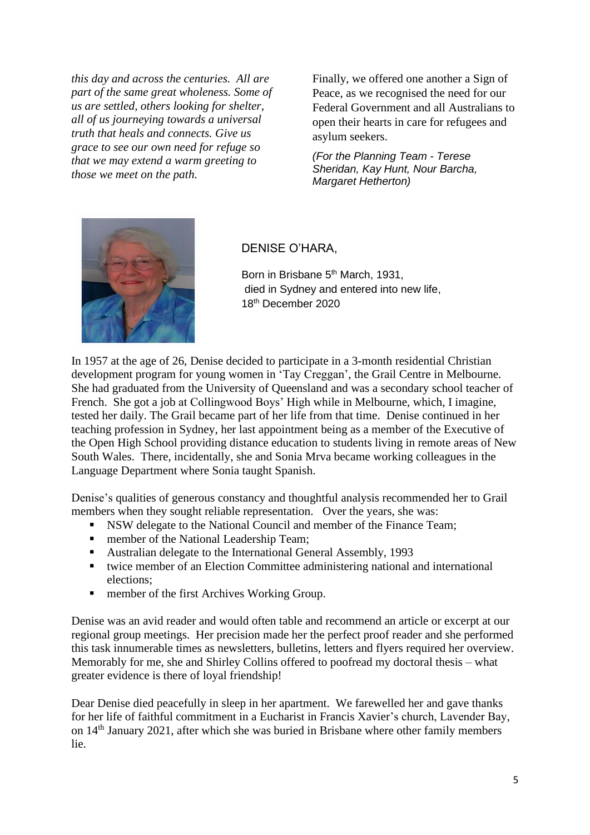*this day and across the centuries. All are part of the same great wholeness. Some of us are settled, others looking for shelter, all of us journeying towards a universal truth that heals and connects. Give us grace to see our own need for refuge so that we may extend a warm greeting to those we meet on the path.*

Finally, we offered one another a Sign of Peace, as we recognised the need for our Federal Government and all Australians to open their hearts in care for refugees and asylum seekers.

*(For the Planning Team - Terese Sheridan, Kay Hunt, Nour Barcha, Margaret Hetherton)*



### DENISE O'HARA,

Born in Brisbane 5<sup>th</sup> March, 1931, died in Sydney and entered into new life, 18th December 2020

In 1957 at the age of 26, Denise decided to participate in a 3-month residential Christian development program for young women in 'Tay Creggan', the Grail Centre in Melbourne. She had graduated from the University of Queensland and was a secondary school teacher of French. She got a job at Collingwood Boys' High while in Melbourne, which, I imagine, tested her daily. The Grail became part of her life from that time. Denise continued in her teaching profession in Sydney, her last appointment being as a member of the Executive of the Open High School providing distance education to students living in remote areas of New South Wales. There, incidentally, she and Sonia Mrva became working colleagues in the Language Department where Sonia taught Spanish.

Denise's qualities of generous constancy and thoughtful analysis recommended her to Grail members when they sought reliable representation. Over the years, she was:

- NSW delegate to the National Council and member of the Finance Team;
- **EXECUTE:** member of the National Leadership Team;<br>**EXECUTE:** Australian delegate to the International Ger
- Australian delegate to the International General Assembly, 1993
- twice member of an Election Committee administering national and international elections;
- member of the first Archives Working Group.

Denise was an avid reader and would often table and recommend an article or excerpt at our regional group meetings. Her precision made her the perfect proof reader and she performed this task innumerable times as newsletters, bulletins, letters and flyers required her overview. Memorably for me, she and Shirley Collins offered to poofread my doctoral thesis – what greater evidence is there of loyal friendship!

Dear Denise died peacefully in sleep in her apartment. We farewelled her and gave thanks for her life of faithful commitment in a Eucharist in Francis Xavier's church, Lavender Bay, on 14th January 2021, after which she was buried in Brisbane where other family members lie.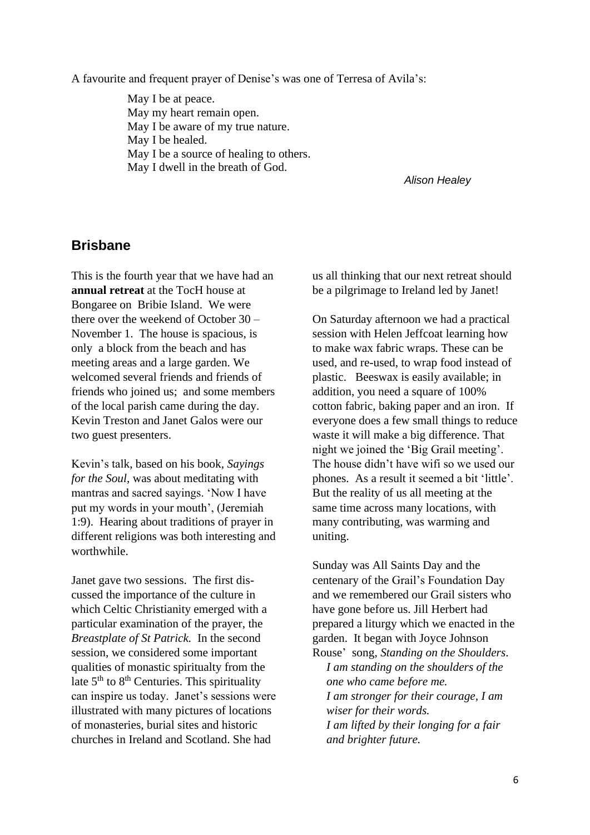A favourite and frequent prayer of Denise's was one of Terresa of Avila's:

May I be at peace. May my heart remain open. May I be aware of my true nature. May I be healed. May I be a source of healing to others. May I dwell in the breath of God.

*Alison Healey*

### **Brisbane**

This is the fourth year that we have had an **annual retreat** at the TocH house at Bongaree on Bribie Island. We were there over the weekend of October 30 – November 1. The house is spacious, is only a block from the beach and has meeting areas and a large garden. We welcomed several friends and friends of friends who joined us; and some members of the local parish came during the day. Kevin Treston and Janet Galos were our two guest presenters.

Kevin's talk, based on his book, *Sayings for the Soul*, was about meditating with mantras and sacred sayings. 'Now I have put my words in your mouth', (Jeremiah 1:9). Hearing about traditions of prayer in different religions was both interesting and worthwhile.

Janet gave two sessions. The first discussed the importance of the culture in which Celtic Christianity emerged with a particular examination of the prayer, the *Breastplate of St Patrick.* In the second session, we considered some important qualities of monastic spiritualty from the late  $5<sup>th</sup>$  to  $8<sup>th</sup>$  Centuries. This spirituality can inspire us today. Janet's sessions were illustrated with many pictures of locations of monasteries, burial sites and historic churches in Ireland and Scotland. She had

us all thinking that our next retreat should be a pilgrimage to Ireland led by Janet!

On Saturday afternoon we had a practical session with Helen Jeffcoat learning how to make wax fabric wraps. These can be used, and re-used, to wrap food instead of plastic. Beeswax is easily available; in addition, you need a square of 100% cotton fabric, baking paper and an iron. If everyone does a few small things to reduce waste it will make a big difference. That night we joined the 'Big Grail meeting'. The house didn't have wifi so we used our phones. As a result it seemed a bit 'little'. But the reality of us all meeting at the same time across many locations, with many contributing, was warming and uniting.

Sunday was All Saints Day and the centenary of the Grail's Foundation Day and we remembered our Grail sisters who have gone before us. Jill Herbert had prepared a liturgy which we enacted in the garden. It began with Joyce Johnson Rouse' song, *Standing on the Shoulders*.

*I am standing on the shoulders of the one who came before me. I am stronger for their courage, I am wiser for their words. I am lifted by their longing for a fair and brighter future.*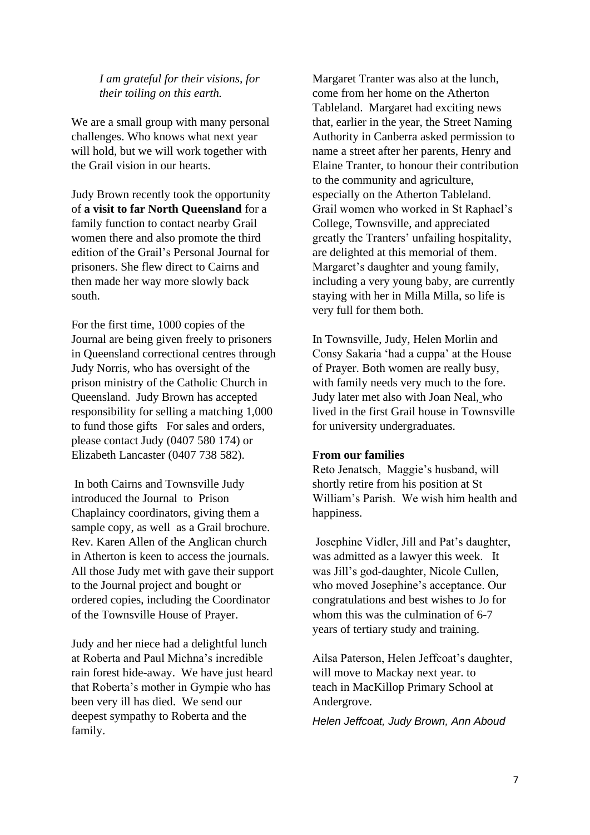### *I am grateful for their visions, for their toiling on this earth.*

We are a small group with many personal challenges. Who knows what next year will hold, but we will work together with the Grail vision in our hearts.

Judy Brown recently took the opportunity of **a visit to far North Queensland** for a family function to contact nearby Grail women there and also promote the third edition of the Grail's Personal Journal for prisoners. She flew direct to Cairns and then made her way more slowly back south.

For the first time, 1000 copies of the Journal are being given freely to prisoners in Queensland correctional centres through Judy Norris, who has oversight of the prison ministry of the Catholic Church in Queensland. Judy Brown has accepted responsibility for selling a matching 1,000 to fund those gifts For sales and orders, please contact Judy (0407 580 174) or Elizabeth Lancaster (0407 738 582).

In both Cairns and Townsville Judy introduced the Journal to Prison Chaplaincy coordinators, giving them a sample copy, as well as a Grail brochure. Rev. Karen Allen of the Anglican church in Atherton is keen to access the journals. All those Judy met with gave their support to the Journal project and bought or ordered copies, including the Coordinator of the Townsville House of Prayer.

Judy and her niece had a delightful lunch at Roberta and Paul Michna's incredible rain forest hide-away. We have just heard that Roberta's mother in Gympie who has been very ill has died. We send our deepest sympathy to Roberta and the family.

Margaret Tranter was also at the lunch, come from her home on the Atherton Tableland. Margaret had exciting news that, earlier in the year, the Street Naming Authority in Canberra asked permission to name a street after her parents, Henry and Elaine Tranter, to honour their contribution to the community and agriculture, especially on the Atherton Tableland. Grail women who worked in St Raphael's College, Townsville, and appreciated greatly the Tranters' unfailing hospitality, are delighted at this memorial of them. Margaret's daughter and young family, including a very young baby, are currently staying with her in Milla Milla, so life is very full for them both.

In Townsville, Judy, Helen Morlin and Consy Sakaria 'had a cuppa' at the House of Prayer. Both women are really busy, with family needs very much to the fore. Judy later met also with Joan Neal, who lived in the first Grail house in Townsville for university undergraduates.

#### **From our families**

Reto Jenatsch, Maggie's husband, will shortly retire from his position at St William's Parish. We wish him health and happiness.

Josephine Vidler, Jill and Pat's daughter, was admitted as a lawyer this week. It was Jill's god-daughter, Nicole Cullen, who moved Josephine's acceptance. Our congratulations and best wishes to Jo for whom this was the culmination of 6-7 years of tertiary study and training.

Ailsa Paterson, Helen Jeffcoat's daughter, will move to Mackay next year. to teach in MacKillop Primary School at Andergrove.

*Helen Jeffcoat, Judy Brown, Ann Aboud*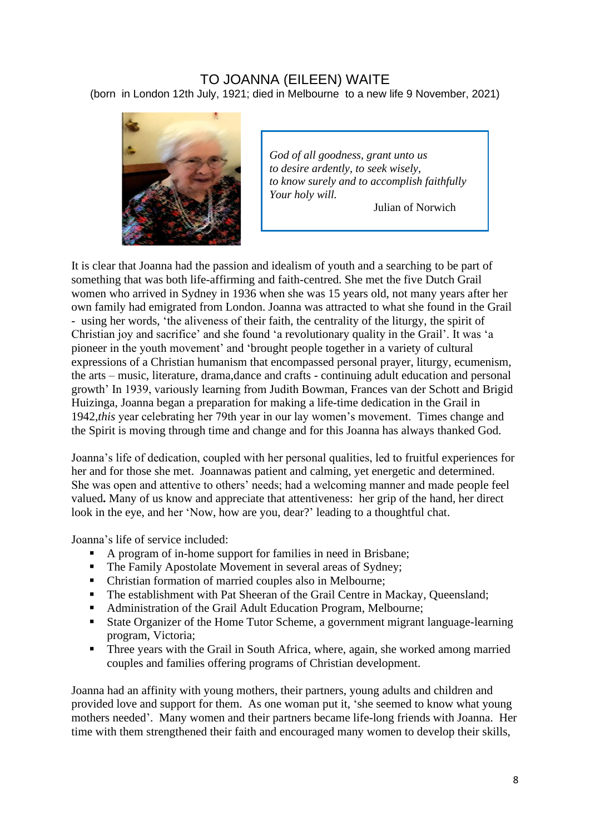## TO JOANNA (EILEEN) WAITE (born in London 12th July, 1921; died in Melbourne to a new life 9 November, 2021)



*God of all goodness, grant unto us to desire ardently, to seek wisely, to know surely and to accomplish faithfully Your holy will.*

Julian of Norwich

It is clear that Joanna had the passion and idealism of youth and a searching to be part of something that was both life-affirming and faith-centred. She met the five Dutch Grail women who arrived in Sydney in 1936 when she was 15 years old, not many years after her own family had emigrated from London. Joanna was attracted to what she found in the Grail - using her words, 'the aliveness of their faith, the centrality of the liturgy, the spirit of Christian joy and sacrifice' and she found 'a revolutionary quality in the Grail'. It was 'a pioneer in the youth movement' and 'brought people together in a variety of cultural expressions of a Christian humanism that encompassed personal prayer, liturgy, ecumenism, the arts – music, literature, drama,dance and crafts - continuing adult education and personal growth' In 1939, variously learning from Judith Bowman, Frances van der Schott and Brigid Huizinga, Joanna began a preparation for making a life-time dedication in the Grail in 1942,*this* year celebrating her 79th year in our lay women's movement. Times change and the Spirit is moving through time and change and for this Joanna has always thanked God.

Joanna's life of dedication, coupled with her personal qualities, led to fruitful experiences for her and for those she met. Joannawas patient and calming, yet energetic and determined. She was open and attentive to others' needs; had a welcoming manner and made people feel valued**.** Many of us know and appreciate that attentiveness: her grip of the hand, her direct look in the eye, and her 'Now, how are you, dear?' leading to a thoughtful chat.

Joanna's life of service included:

- A program of in-home support for families in need in Brisbane;
- The Family Apostolate Movement in several areas of Sydney;
- Christian formation of married couples also in Melbourne:
- The establishment with Pat Sheeran of the Grail Centre in Mackay, Oueensland;
- Administration of the Grail Adult Education Program, Melbourne;
- State Organizer of the Home Tutor Scheme, a government migrant language-learning program, Victoria;
- **•** Three years with the Grail in South Africa, where, again, she worked among married couples and families offering programs of Christian development.

Joanna had an affinity with young mothers, their partners, young adults and children and provided love and support for them. As one woman put it, 'she seemed to know what young mothers needed'. Many women and their partners became life-long friends with Joanna. Her time with them strengthened their faith and encouraged many women to develop their skills,